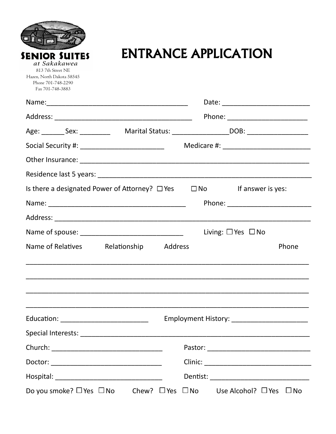| <b>SENIOR SUITES</b><br>at Sakakawea<br>813 7th Street NE<br>Hazen, North Dakota 58545<br>Phone 701-748-2290<br>Fax 701-748-3883 | ENTRANCE APPLICATION                                                                                |  |  |
|----------------------------------------------------------------------------------------------------------------------------------|-----------------------------------------------------------------------------------------------------|--|--|
|                                                                                                                                  |                                                                                                     |  |  |
|                                                                                                                                  |                                                                                                     |  |  |
|                                                                                                                                  | Age: _________ Sex: _____________  Marital Status: ___________________DOB: ________________________ |  |  |
|                                                                                                                                  |                                                                                                     |  |  |
|                                                                                                                                  |                                                                                                     |  |  |
|                                                                                                                                  |                                                                                                     |  |  |
|                                                                                                                                  | Is there a designated Power of Attorney? $\Box$ Yes $\Box$ No If answer is yes:                     |  |  |
|                                                                                                                                  |                                                                                                     |  |  |
|                                                                                                                                  |                                                                                                     |  |  |
|                                                                                                                                  |                                                                                                     |  |  |
|                                                                                                                                  | Living: $\Box$ Yes $\Box$ No                                                                        |  |  |
|                                                                                                                                  | Name of Relatives Relationship<br>Address<br>Phone                                                  |  |  |
|                                                                                                                                  | Education: ______________________________                                                           |  |  |
|                                                                                                                                  |                                                                                                     |  |  |
|                                                                                                                                  |                                                                                                     |  |  |
|                                                                                                                                  | Employment History: _________________________                                                       |  |  |